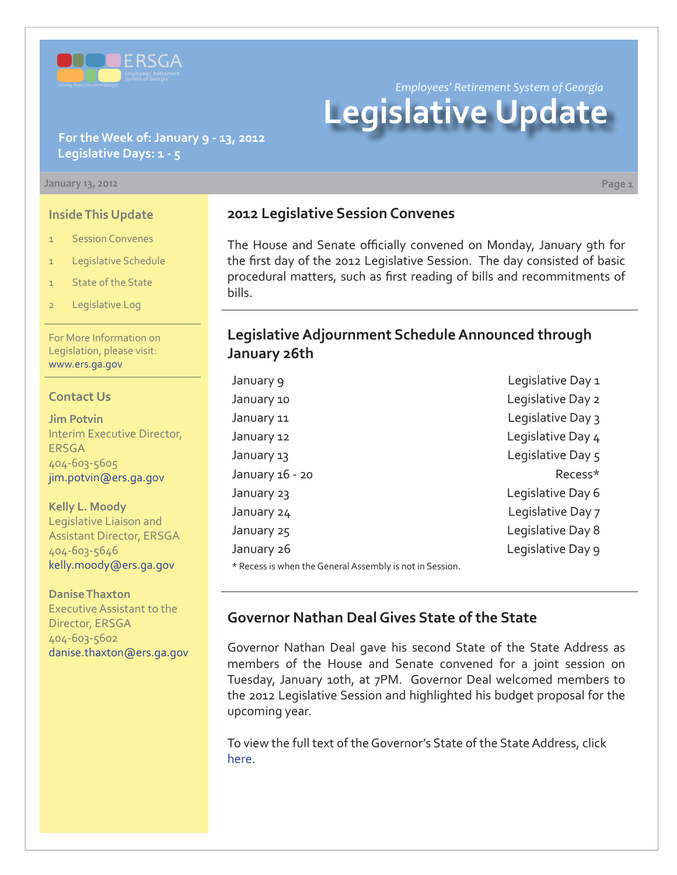

*Employees' Retirement System of Georgia*

# **Legislative Update**

#### **For the Week of: January 9 - 13, 2012 Legislative Days: 1 - 5**

#### **January 13, 2012 Page 1**

**Inside This Update**

- 1 Session Convenes
- 1 Legislative Schedule
- 1 State of the State
- 2 Legislative Log

For More Information on Legislation, please visit: www.ers.ga.gov

#### **Contact Us**

**Jim Potvin** Interim Executive Director, ERSGA 404-603-5605 jim.potvin@ers.ga.gov

**Kelly L. Moody** Legislative Liaison and Assistant Director, ERSGA 404-603-5646 kelly.moody@ers.ga.gov

**Danise Thaxton** Executive Assistant to the Director, ERSGA 404-603-5602 danise.thaxton@ers.ga.gov

# **2012 Legislative Session Convenes**

The House and Senate officially convened on Monday, January 9th for the first day of the 2012 Legislative Session. The day consisted of basic procedural matters, such as first reading of bills and recommitments of bills.

## **Legislative Adjournment Schedule Announced through January 26th**

| January 9                                                | Legislative Day 1 |
|----------------------------------------------------------|-------------------|
| January 10                                               | Legislative Day 2 |
| January 11                                               | Legislative Day 3 |
| January 12                                               | Legislative Day 4 |
| January 13                                               | Legislative Day 5 |
| January 16 - 20                                          | Recess*           |
| January 23                                               | Legislative Day 6 |
| January 24                                               | Legislative Day 7 |
| January 25                                               | Legislative Day 8 |
| January 26                                               | Legislative Day 9 |
| * Recess is when the General Assembly is not in Session. |                   |

# **Governor Nathan Deal Gives State of the State**

Governor Nathan Deal gave his second State of the State Address as members of the House and Senate convened for a joint session on Tuesday, January 10th, at 7PM. Governor Deal welcomed members to the 2012 Legislative Session and highlighted his budget proposal for the upcoming year.

To view the full text of the Governor's State of the State Address, click [here](http://www.ers.ga.gov/legislation/2011 State of the State address.pdf).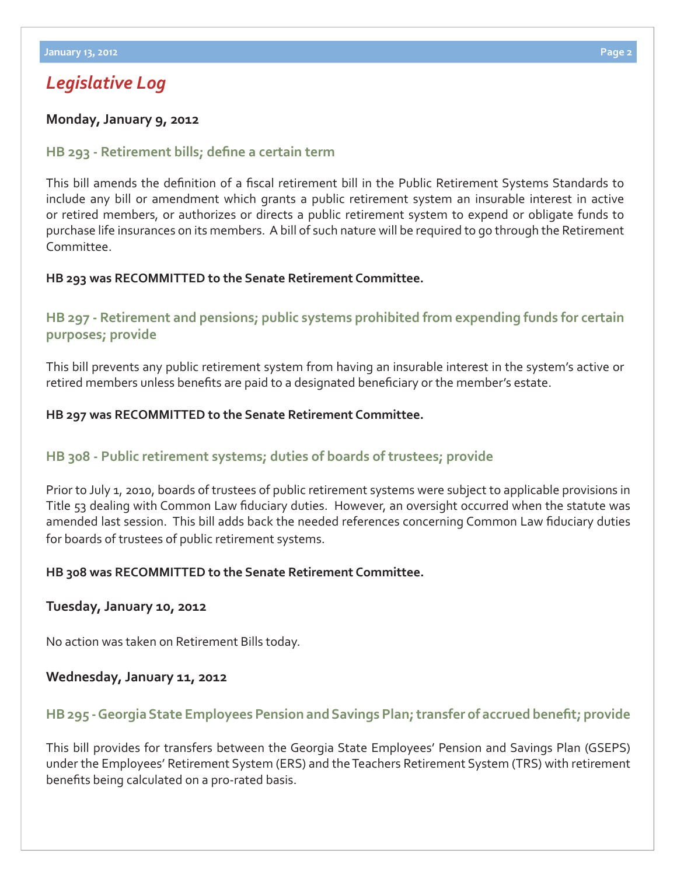# *Legislative Log*

#### **Monday, January 9, 2012**

#### **HB 293 - Retirement bills; define a certain term**

This bill amends the definition of a fiscal retirement bill in the Public Retirement Systems Standards to include any bill or amendment which grants a public retirement system an insurable interest in active or retired members, or authorizes or directs a public retirement system to expend or obligate funds to purchase life insurances on its members. A bill of such nature will be required to go through the Retirement Committee.

#### **HB 293 was RECOMMITTED to the Senate Retirement Committee.**

## **[HB 297 - Retirement and pensions; public systems prohibited from expending funds for certain](http://www.legis.ga.gov/legislation/en-US/Display/20112012/HB/297)  purposes; provide**

This bill prevents any public retirement system from having an insurable interest in the system's active or retired members unless benefits are paid to a designated beneficiary or the member's estate.

#### **HB 297 was RECOMMITTED to the Senate Retirement Committee.**

#### **[HB 308 - Public retirement systems; duties of boards of trustees; provide](http://www.legis.ga.gov/legislation/en-US/Display/20112012/HB/308)**

Prior to July 1, 2010, boards of trustees of public retirement systems were subject to applicable provisions in Title 53 dealing with Common Law fiduciary duties. However, an oversight occurred when the statute was amended last session. This bill adds back the needed references concerning Common Law fiduciary duties for boards of trustees of public retirement systems.

#### **HB 308 was RECOMMITTED to the Senate Retirement Committee.**

#### **Tuesday, January 10, 2012**

No action was taken on Retirement Bills today.

#### **Wednesday, January 11, 2012**

# **HB 295 - Georgia State Employees Pension and Savings Plan; transfer of accrued benefit; provide**

This bill provides for transfers between the Georgia State Employees' Pension and Savings Plan (GSEPS) under the Employees' Retirement System (ERS) and the Teachers Retirement System (TRS) with retirement benefits being calculated on a pro-rated basis.